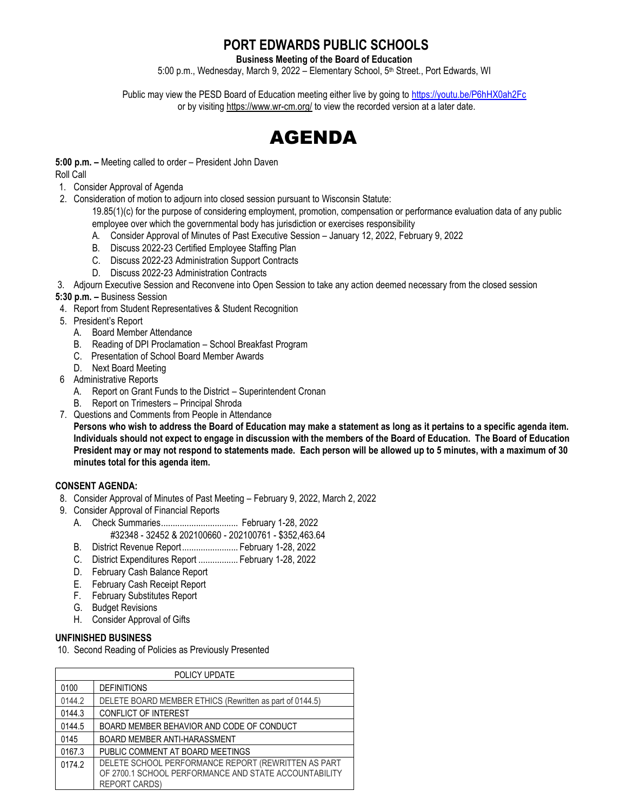## **PORT EDWARDS PUBLIC SCHOOLS**

**Business Meeting of the Board of Education**

5:00 p.m., Wednesday, March 9, 2022 - Elementary School, 5<sup>th</sup> Street., Port Edwards, WI

Public may view the PESD Board of Education meeting either live by going to<https://youtu.be/P6hHX0ah2Fc> or by visitin[g https://www.wr-cm.org/](https://www.wr-cm.org/) to view the recorded version at a later date.



# **5:00 p.m. –** Meeting called to order – President John Daven

Roll Call

- 1. Consider Approval of Agenda
- 2. Consideration of motion to adjourn into closed session pursuant to Wisconsin Statute:

19.85(1)(c) for the purpose of considering employment, promotion, compensation or performance evaluation data of any public employee over which the governmental body has jurisdiction or exercises responsibility

- A. Consider Approval of Minutes of Past Executive Session January 12, 2022, February 9, 2022
- B. Discuss 2022-23 Certified Employee Staffing Plan
- C. Discuss 2022-23 Administration Support Contracts
- D. Discuss 2022-23 Administration Contracts

3. Adjourn Executive Session and Reconvene into Open Session to take any action deemed necessary from the closed session

#### **5:30 p.m. –** Business Session

- 4. Report from Student Representatives & Student Recognition
- 5. President's Report
	- A. Board Member Attendance
	- B. Reading of DPI Proclamation School Breakfast Program
	- C. Presentation of School Board Member Awards
	- D. Next Board Meeting
- 6 Administrative Reports
	- A. Report on Grant Funds to the District Superintendent Cronan
	- B. Report on Trimesters Principal Shroda
- 7. Questions and Comments from People in Attendance **Persons who wish to address the Board of Education may make a statement as long as it pertains to a specific agenda item. Individuals should not expect to engage in discussion with the members of the Board of Education. The Board of Education President may or may not respond to statements made. Each person will be allowed up to 5 minutes, with a maximum of 30**

**minutes total for this agenda item.**

### **CONSENT AGENDA:**

- 8. Consider Approval of Minutes of Past Meeting February 9, 2022, March 2, 2022
- 9. Consider Approval of Financial Reports
	- A. Check Summaries................................. February 1-28, 2022 #32348 - 32452 & 202100660 - 202100761 - \$352,463.64
	- B. District Revenue Report........................ February 1-28, 2022
	- C. District Expenditures Report ................. February 1-28, 2022
	- D. February Cash Balance Report
	- E. February Cash Receipt Report
	- F. February Substitutes Report
	- G. Budget Revisions
	- H. Consider Approval of Gifts

#### **UNFINISHED BUSINESS**

10. Second Reading of Policies as Previously Presented

| POLICY UPDATE |                                                          |
|---------------|----------------------------------------------------------|
| 0100          | <b>DEFINITIONS</b>                                       |
| 0144.2        | DELETE BOARD MEMBER ETHICS (Rewritten as part of 0144.5) |
| 0144.3        | <b>CONFLICT OF INTEREST</b>                              |
| 0144.5        | BOARD MEMBER BEHAVIOR AND CODE OF CONDUCT                |
| 0145          | <b>BOARD MEMBER ANTI-HARASSMENT</b>                      |
| 0167.3        | PUBLIC COMMENT AT BOARD MEETINGS                         |
| 0174.2        | DELETE SCHOOL PERFORMANCE REPORT (REWRITTEN AS PART      |
|               | OF 2700.1 SCHOOL PERFORMANCE AND STATE ACCOUNTABILITY    |
|               | <b>REPORT CARDS)</b>                                     |